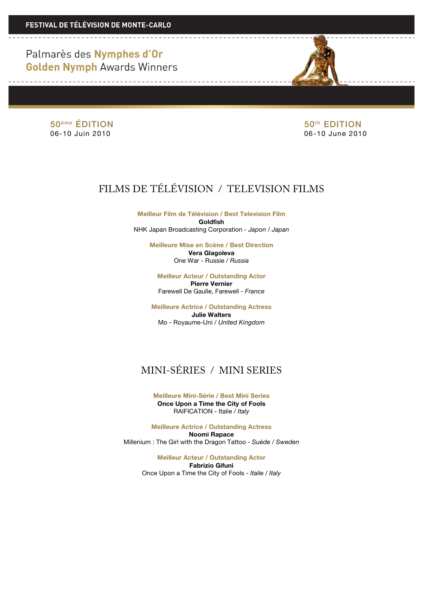> 50<sup>ème</sup> ÉDITION 50<sup>ème</sup> ÉDITION 06-10 Juin 2010 06-10 June 2010

# FILMS DE TÉLÉVISION / TELEVISION FILMS

**Meilleur Film de Télévision / Best Television Film Goldfish** NHK Japan Broadcasting Corporation - *Japon / Japan*

**Meilleure Mise en Scène / Best Direction Vera Glagoleva** One War - Russie / *Russia*

**Meilleur Acteur / Outstanding Actor Pierre Vernier** Farewell De Gaulle, Farewell - *France*

**Meilleure Actrice / Outstanding Actress Julie Walters** Mo - Royaume-Uni / *United Kingdom*

# MINI-SÉRIES / MINI SERIES

**Meilleure Mini-Série / Best Mini Series Once Upon a Time the City of Fools** RAIFICATION - Italie / *Italy*

**Meilleure Actrice / Outstanding Actress Noomi Rapace** Millenium : The Girl with the Dragon Tattoo - *Suède / Sweden*

> **Meilleur Acteur / Outstanding Actor Fabrizio Gifuni** Once Upon a Time the City of Fools - *Italie / Italy*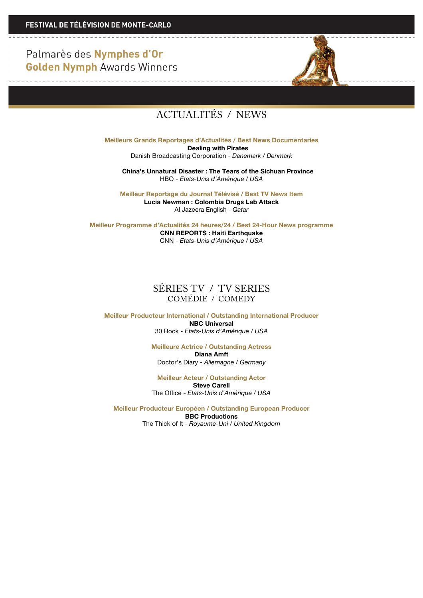

# ACTUALITÉS / NEWS

**Meilleurs Grands Reportages d'Actualités / Best News Documentaries Dealing with Pirates** Danish Broadcasting Corporation *- Danemark / Denmark* 

**China's Unnatural Disaster : The Tears of the Sichuan Province** HBO - *Etats-Unis d'Amérique / USA*

**Meilleur Reportage du Journal Télévisé / Best TV News Item Lucia Newman : Colombia Drugs Lab Attack** Al Jazeera English - *Qatar*

**Meilleur Programme d'Actualités 24 heures/24 / Best 24-Hour News programme CNN REPORTS : Haiti Earthquake** CNN - *Etats-Unis d'Amérique / USA*

### SÉRIES TV / TV SERIES COMÉDIE / COMEDY

**Meilleur Producteur International / Outstanding International Producer NBC Universal** 30 Rock - *Etats-Unis d'Amérique / USA*

> **Meilleure Actrice / Outstanding Actress Diana Amft** Doctor's Diary - *Allemagne / Germany*

**Meilleur Acteur / Outstanding Actor Steve Carell**

The Office - *Etats-Unis d'Amérique / USA*

**Meilleur Producteur Européen / Outstanding European Producer BBC Productions** The Thick of It - *Royaume-Uni / United Kingdom*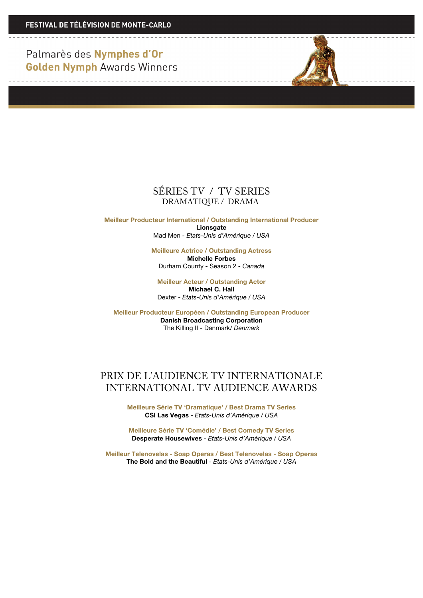

### SÉRIES TV / TV SERIES DRAMATIQUE / DRAMA

**Meilleur Producteur International / Outstanding International Producer Lionsgate** Mad Men - *Etats-Unis d'Amérique / USA*

> **Meilleure Actrice / Outstanding Actress Michelle Forbes** Durham County - Season 2 - *Canada*

**Meilleur Acteur / Outstanding Actor Michael C. Hall** Dexter - *Etats-Unis d'Amérique / USA*

**Meilleur Producteur Européen / Outstanding European Producer Danish Broadcasting Corporation** The Killing II - Danmark/ *Denmark*

### PRIX DE L'AUDIENCE TV INTERNATIONALE INTERNATIONAL TV AUDIENCE AWARDS

**Meilleure Série TV 'Dramatique' / Best Drama TV Series CSI Las Vegas** - *Etats-Unis d'Amérique / USA*

**Meilleure Série TV 'Comédie' / Best Comedy TV Series Desperate Housewives** - *Etats-Unis d'Amérique / USA*

**Meilleur Telenovelas - Soap Operas / Best Telenovelas - Soap Operas The Bold and the Beautiful** - *Etats-Unis d'Amérique / USA*